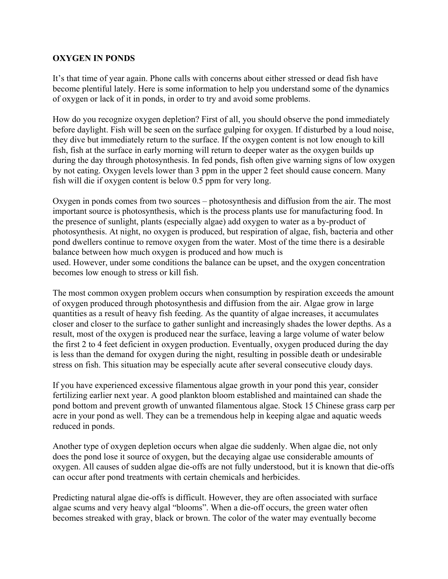## **OXYGEN IN PONDS**

It's that time of year again. Phone calls with concerns about either stressed or dead fish have become plentiful lately. Here is some information to help you understand some of the dynamics of oxygen or lack of it in ponds, in order to try and avoid some problems.

How do you recognize oxygen depletion? First of all, you should observe the pond immediately before daylight. Fish will be seen on the surface gulping for oxygen. If disturbed by a loud noise, they dive but immediately return to the surface. If the oxygen content is not low enough to kill fish, fish at the surface in early morning will return to deeper water as the oxygen builds up during the day through photosynthesis. In fed ponds, fish often give warning signs of low oxygen by not eating. Oxygen levels lower than 3 ppm in the upper 2 feet should cause concern. Many fish will die if oxygen content is below 0.5 ppm for very long.

Oxygen in ponds comes from two sources – photosynthesis and diffusion from the air. The most important source is photosynthesis, which is the process plants use for manufacturing food. In the presence of sunlight, plants (especially algae) add oxygen to water as a by-product of photosynthesis. At night, no oxygen is produced, but respiration of algae, fish, bacteria and other pond dwellers continue to remove oxygen from the water. Most of the time there is a desirable balance between how much oxygen is produced and how much is used. However, under some conditions the balance can be upset, and the oxygen concentration becomes low enough to stress or kill fish.

The most common oxygen problem occurs when consumption by respiration exceeds the amount of oxygen produced through photosynthesis and diffusion from the air. Algae grow in large quantities as a result of heavy fish feeding. As the quantity of algae increases, it accumulates closer and closer to the surface to gather sunlight and increasingly shades the lower depths. As a result, most of the oxygen is produced near the surface, leaving a large volume of water below the first 2 to 4 feet deficient in oxygen production. Eventually, oxygen produced during the day is less than the demand for oxygen during the night, resulting in possible death or undesirable stress on fish. This situation may be especially acute after several consecutive cloudy days.

If you have experienced excessive filamentous algae growth in your pond this year, consider fertilizing earlier next year. A good plankton bloom established and maintained can shade the pond bottom and prevent growth of unwanted filamentous algae. Stock 15 Chinese grass carp per acre in your pond as well. They can be a tremendous help in keeping algae and aquatic weeds reduced in ponds.

Another type of oxygen depletion occurs when algae die suddenly. When algae die, not only does the pond lose it source of oxygen, but the decaying algae use considerable amounts of oxygen. All causes of sudden algae die-offs are not fully understood, but it is known that die-offs can occur after pond treatments with certain chemicals and herbicides.

Predicting natural algae die-offs is difficult. However, they are often associated with surface algae scums and very heavy algal "blooms". When a die-off occurs, the green water often becomes streaked with gray, black or brown. The color of the water may eventually become